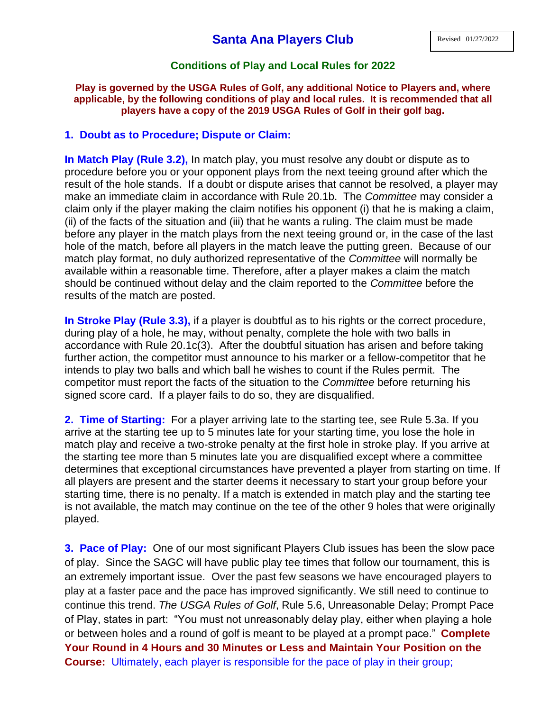## **Conditions of Play and Local Rules for 2022**

## **Play is governed by the USGA Rules of Golf, any additional Notice to Players and, where applicable, by the following conditions of play and local rules. It is recommended that all players have a copy of the 2019 USGA Rules of Golf in their golf bag.**

## **1. Doubt as to Procedure; Dispute or Claim:**

**In Match Play (Rule 3.2),** [In match play, you must resolve any doubt or dispute as to](http://127.0.0.1/screen1754.html)  procedure before you or your opponent plays [from the next teeing ground after which the](http://127.0.0.1/screen1754.html)  [result of the hole stands. If a doubt or dispute arises that cannot be resolved,](http://127.0.0.1/screen1754.html) a player may make an immediate claim [in accordance with Rule 20.1b.](http://127.0.0.1/screen1754.html) The *Committee* may consider a [claim only if the player making the claim notifies his opponent \(i\) that he is making a claim,](http://127.0.0.1/screen1754.html)  [\(ii\) of the facts of the situation and \(iii\) that he wants a ruling. The claim must be made](http://127.0.0.1/screen1754.html)  [before any player in the match plays from the next teeing ground or, in the case of the last](http://127.0.0.1/screen1754.html)  [hole of the match, before all players in the match leave the putting green.](http://127.0.0.1/screen1754.html) Because of our match play format, no duly authorized representative of the *Committee* will normally be available within a reasonable time. Therefore, after a player makes a claim the match should be continued without delay and the claim reported to the *Committee* before the results of the match are posted.

**In Stroke Play (Rule 3.3),** if a player is doubtful as to his rights or the correct procedure, during play of a hole, he may, without penalty, complete the hole with two balls in accordance with Rule 20.1c(3). After the doubtful situation has arisen and before taking further action, the competitor must announce to his marker or a fellow-competitor that he intends to play two balls and which ball he wishes to count if the Rules permit. The competitor must report the facts of the situation to the *Committee* before returning his signed score card. If a player fails to do so, they are disqualified.

**2. Time of Starting:** For a player arriving late to the starting tee, see Rule 5.3a. If you arrive at the starting tee up to 5 minutes late for your starting time, you lose the hole in match play and receive a two-stroke penalty at the first hole in stroke play. If you arrive at the starting tee more than 5 minutes late you are disqualified except where a committee determines that exceptional circumstances have prevented a player from starting on time. If all players are present and the starter deems it necessary to start your group before your starting time, there is no penalty. If a match is extended in match play and the starting tee is not available, the match may continue on the tee of the other 9 holes that were originally played.

**3. Pace of Play:** One of our most significant Players Club issues has been the slow pace of play. Since the SAGC will have public play tee times that follow our tournament, this is an extremely important issue. Over the past few seasons we have encouraged players to play at a faster pace and the pace has improved significantly. We still need to continue to continue this trend. *The USGA Rules of Golf*, Rule 5.6, Unreasonable Delay; Prompt Pace of Play, states in part: "You must not unreasonably delay play, either when playing a hole or between holes and a round of golf is meant to be played at a prompt pace." **Complete Your Round in 4 Hours and 30 Minutes or Less and Maintain Your Position on the Course:** Ultimately, each player is responsible for the pace of play in their group;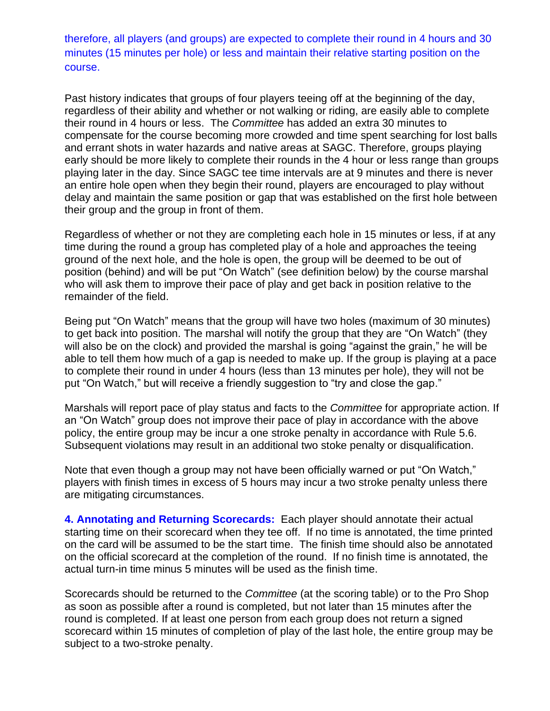therefore, all players (and groups) are expected to complete their round in 4 hours and 30 minutes (15 minutes per hole) or less and maintain their relative starting position on the course.

Past history indicates that groups of four players teeing off at the beginning of the day, regardless of their ability and whether or not walking or riding, are easily able to complete their round in 4 hours or less. The *Committee* has added an extra 30 minutes to compensate for the course becoming more crowded and time spent searching for lost balls and errant shots in water hazards and native areas at SAGC. Therefore, groups playing early should be more likely to complete their rounds in the 4 hour or less range than groups playing later in the day. Since SAGC tee time intervals are at 9 minutes and there is never an entire hole open when they begin their round, players are encouraged to play without delay and maintain the same position or gap that was established on the first hole between their group and the group in front of them.

Regardless of whether or not they are completing each hole in 15 minutes or less, if at any time during the round a group has completed play of a hole and approaches the teeing ground of the next hole, and the hole is open, the group will be deemed to be out of position (behind) and will be put "On Watch" (see definition below) by the course marshal who will ask them to improve their pace of play and get back in position relative to the remainder of the field.

Being put "On Watch" means that the group will have two holes (maximum of 30 minutes) to get back into position. The marshal will notify the group that they are "On Watch" (they will also be on the clock) and provided the marshal is going "against the grain," he will be able to tell them how much of a gap is needed to make up. If the group is playing at a pace to complete their round in under 4 hours (less than 13 minutes per hole), they will not be put "On Watch," but will receive a friendly suggestion to "try and close the gap."

Marshals will report pace of play status and facts to the *Committee* for appropriate action. If an "On Watch" group does not improve their pace of play in accordance with the above policy, the entire group may be incur a one stroke penalty in accordance with Rule 5.6. Subsequent violations may result in an additional two stoke penalty or disqualification.

Note that even though a group may not have been officially warned or put "On Watch," players with finish times in excess of 5 hours may incur a two stroke penalty unless there are mitigating circumstances.

**4. Annotating and Returning Scorecards:** Each player should annotate their actual starting time on their scorecard when they tee off. If no time is annotated, the time printed on the card will be assumed to be the start time. The finish time should also be annotated on the official scorecard at the completion of the round. If no finish time is annotated, the actual turn-in time minus 5 minutes will be used as the finish time.

Scorecards should be returned to the *Committee* (at the scoring table) or to the Pro Shop as soon as possible after a round is completed, but not later than 15 minutes after the round is completed. If at least one person from each group does not return a signed scorecard within 15 minutes of completion of play of the last hole, the entire group may be subject to a two-stroke penalty.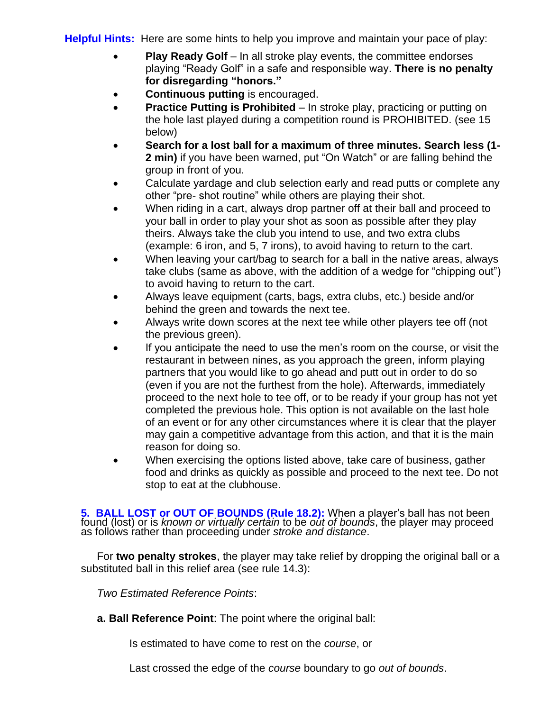**Helpful Hints:** Here are some hints to help you improve and maintain your pace of play:

- **Play Ready Golf** In all stroke play events, the committee endorses playing "Ready Golf" in a safe and responsible way. **There is no penalty for disregarding "honors."**
- **Continuous putting** is encouraged.
- **Practice Putting is Prohibited** In stroke play, practicing or putting on the hole last played during a competition round is PROHIBITED. (see 15 below)
- **Search for a lost ball for a maximum of three minutes. Search less (1- 2 min)** if you have been warned, put "On Watch" or are falling behind the group in front of you.
- Calculate yardage and club selection early and read putts or complete any other "pre- shot routine" while others are playing their shot.
- When riding in a cart, always drop partner off at their ball and proceed to your ball in order to play your shot as soon as possible after they play theirs. Always take the club you intend to use, and two extra clubs (example: 6 iron, and 5, 7 irons), to avoid having to return to the cart.
- When leaving your cart/bag to search for a ball in the native areas, always take clubs (same as above, with the addition of a wedge for "chipping out") to avoid having to return to the cart.
- Always leave equipment (carts, bags, extra clubs, etc.) beside and/or behind the green and towards the next tee.
- Always write down scores at the next tee while other players tee off (not the previous green).
- If you anticipate the need to use the men's room on the course, or visit the restaurant in between nines, as you approach the green, inform playing partners that you would like to go ahead and putt out in order to do so (even if you are not the furthest from the hole). Afterwards, immediately proceed to the next hole to tee off, or to be ready if your group has not yet completed the previous hole. This option is not available on the last hole of an event or for any other circumstances where it is clear that the player may gain a competitive advantage from this action, and that it is the main reason for doing so.
- When exercising the options listed above, take care of business, gather food and drinks as quickly as possible and proceed to the next tee. Do not stop to eat at the clubhouse.

**5. BALL LOST or OUT OF BOUNDS (Rule 18.2):** When a player's ball has not been found (lost) or is *known or virtually certain* to be *out of bounds*, the player may proceed as follows rather than proceeding under *stroke and distance*.

For **two penalty strokes**, the player may take relief by dropping the original ball or a substituted ball in this relief area (see rule 14.3):

*Two Estimated Reference Points*:

**a. Ball Reference Point**: The point where the original ball:

Is estimated to have come to rest on the *course*, or

Last crossed the edge of the *course* boundary to go *out of bounds*.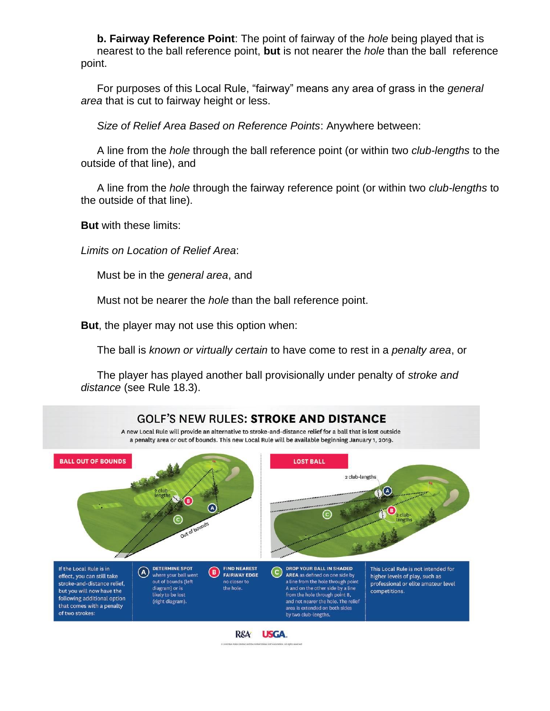**b. Fairway Reference Point**: The point of fairway of the *hole* being played that is nearest to the ball reference point, **but** is not nearer the *hole* than the ball reference point.

For purposes of this Local Rule, "fairway" means any area of grass in the *general area* that is cut to fairway height or less.

*Size of Relief Area Based on Reference Points*: Anywhere between:

A line from the *hole* through the ball reference point (or within two *club-lengths* to the outside of that line), and

A line from the *hole* through the fairway reference point (or within two *club-lengths* to the outside of that line).

**But** with these limits:

*Limits on Location of Relief Area*:

Must be in the *general area*, and

Must not be nearer the *hole* than the ball reference point.

**But**, the player may not use this option when:

The ball is *known or virtually certain* to have come to rest in a *penalty area*, or

The player has played another ball provisionally under penalty of *stroke and distance* (see Rule 18.3).

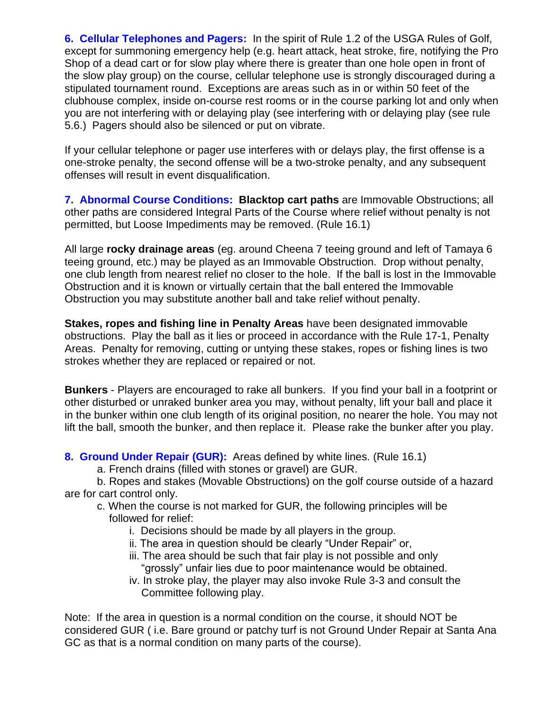**6. Cellular Telephones and Pagers:** In the spirit of Rule 1.2 of the USGA Rules of Golf, except for summoning emergency help (e.g. heart attack, heat stroke, fire, notifying the Pro Shop of a dead cart or for slow play where there is greater than one hole open in front of the slow play group) on the course, cellular telephone use is strongly discouraged during a stipulated tournament round. Exceptions are areas such as in or within 50 feet of the clubhouse complex, inside on-course rest rooms or in the course parking lot and only when you are not interfering with or delaying play (see interfering with or delaying play (see rule 5.6.) Pagers should also be silenced or put on vibrate.

If your cellular telephone or pager use interferes with or delays play, the first offense is a one-stroke penalty, the second offense will be a two-stroke penalty, and any subsequent offenses will result in event disqualification.

**7. Abnormal Course Conditions: Blacktop cart paths** are Immovable Obstructions; all other paths are considered Integral Parts of the Course where relief without penalty is not permitted, but Loose Impediments may be removed. (Rule 16.1)

All large **rocky drainage areas** (eg. around Cheena 7 teeing ground and left of Tamaya 6 teeing ground, etc.) may be played as an Immovable Obstruction. Drop without penalty, one club length from nearest relief no closer to the hole. If the ball is lost in the Immovable Obstruction and it is known or virtually certain that the ball entered the Immovable Obstruction you may substitute another ball and take relief without penalty.

**Stakes, ropes and fishing line in Penalty Areas** have been designated immovable obstructions. Play the ball as it lies or proceed in accordance with the Rule 17-1, Penalty Areas. Penalty for removing, cutting or untying these stakes, ropes or fishing lines is two strokes whether they are replaced or repaired or not.

**Bunkers** - Players are encouraged to rake all bunkers. If you find your ball in a footprint or other disturbed or unraked bunker area you may, without penalty, lift your ball and place it in the bunker within one club length of its original position, no nearer the hole. You may not lift the ball, smooth the bunker, and then replace it. Please rake the bunker after you play.

**8. Ground Under Repair (GUR):** Areas defined by white lines. (Rule 16.1)

a. French drains (filled with stones or gravel) are GUR.

b. Ropes and stakes (Movable Obstructions) on the golf course outside of a hazard are for cart control only.

- c. When the course is not marked for GUR, the following principles will be followed for relief:
	- i. Decisions should be made by all players in the group.
	- ii. The area in question should be clearly "Under Repair" or,
	- iii. The area should be such that fair play is not possible and only "grossly" unfair lies due to poor maintenance would be obtained.
	- iv. In stroke play, the player may also invoke Rule 3-3 and consult the Committee following play.

Note: If the area in question is a normal condition on the course, it should NOT be considered GUR ( i.e. Bare ground or patchy turf is not Ground Under Repair at Santa Ana GC as that is a normal condition on many parts of the course).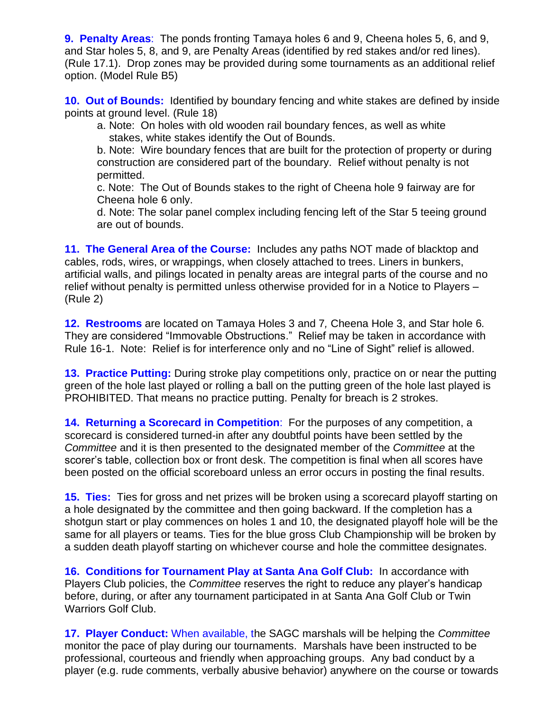**9. Penalty Areas**: The ponds fronting Tamaya holes 6 and 9, Cheena holes 5, 6, and 9, and Star holes 5, 8, and 9, are Penalty Areas (identified by red stakes and/or red lines). (Rule 17.1). Drop zones may be provided during some tournaments as an additional relief option. (Model Rule B5)

**10. Out of Bounds:** Identified by boundary fencing and white stakes are defined by inside points at ground level. (Rule 18)

a. Note: On holes with old wooden rail boundary fences, as well as white stakes, white stakes identify the Out of Bounds.

b. Note: Wire boundary fences that are built for the protection of property or during construction are considered part of the boundary. Relief without penalty is not permitted.

c. Note: The Out of Bounds stakes to the right of Cheena hole 9 fairway are for Cheena hole 6 only.

d. Note: The solar panel complex including fencing left of the Star 5 teeing ground are out of bounds.

**11. The General Area of the Course:** Includes any paths NOT made of blacktop and cables, rods, wires, or wrappings, when closely attached to trees. Liners in bunkers, artificial walls, and pilings located in penalty areas are integral parts of the course and no relief without penalty is permitted unless otherwise provided for in a Notice to Players – (Rule 2)

**12. Restrooms** are located on Tamaya Holes 3 and 7*,* Cheena Hole 3, and Star hole 6*.* They are considered "Immovable Obstructions." Relief may be taken in accordance with Rule 16-1. Note: Relief is for interference only and no "Line of Sight" relief is allowed.

**13. Practice Putting:** During stroke play competitions only, practice on or near the putting green of the hole last played or rolling a ball on the putting green of the hole last played is PROHIBITED. That means no practice putting. Penalty for breach is 2 strokes.

**14. Returning a Scorecard in Competition**: For the purposes of any competition, a scorecard is considered turned-in after any doubtful points have been settled by the *Committee* and it is then presented to the designated member of the *Committee* at the scorer's table, collection box or front desk. The competition is final when all scores have been posted on the official scoreboard unless an error occurs in posting the final results.

**15. Ties:** Ties for gross and net prizes will be broken using a scorecard playoff starting on a hole designated by the committee and then going backward. If the completion has a shotgun start or play commences on holes 1 and 10, the designated playoff hole will be the same for all players or teams. Ties for the blue gross Club Championship will be broken by a sudden death playoff starting on whichever course and hole the committee designates.

**16. Conditions for Tournament Play at Santa Ana Golf Club:** In accordance with Players Club policies, the *Committee* reserves the right to reduce any player's handicap before, during, or after any tournament participated in at Santa Ana Golf Club or Twin Warriors Golf Club.

**17. Player Conduct:** When available, the SAGC marshals will be helping the *Committee* monitor the pace of play during our tournaments. Marshals have been instructed to be professional, courteous and friendly when approaching groups. Any bad conduct by a player (e.g. rude comments, verbally abusive behavior) anywhere on the course or towards